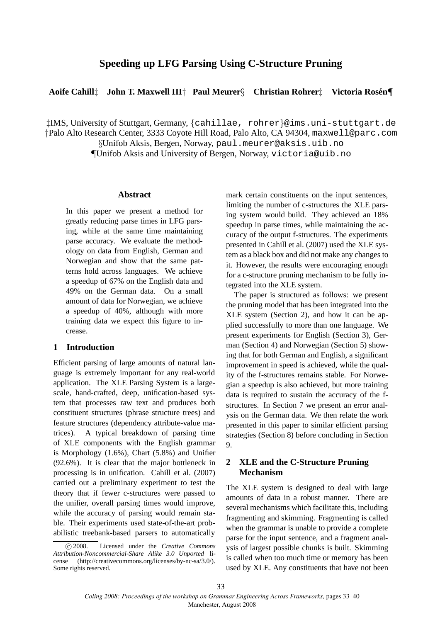# **Speeding up LFG Parsing Using C-Structure Pruning**

# **Aoife Cahill**‡ **John T. Maxwell III**† **Paul Meurer**§ **Christian Rohrer**‡ **Victoria Rosen´** ¶

‡IMS, University of Stuttgart, Germany, {cahillae, rohrer}@ims.uni-stuttgart.de

†Palo Alto Research Center, 3333 Coyote Hill Road, Palo Alto, CA 94304, maxwell@parc.com

§Unifob Aksis, Bergen, Norway, paul.meurer@aksis.uib.no ¶Unifob Aksis and University of Bergen, Norway, victoria@uib.no

#### **Abstract**

In this paper we present a method for greatly reducing parse times in LFG parsing, while at the same time maintaining parse accuracy. We evaluate the methodology on data from English, German and Norwegian and show that the same patterns hold across languages. We achieve a speedup of 67% on the English data and 49% on the German data. On a small amount of data for Norwegian, we achieve a speedup of 40%, although with more training data we expect this figure to increase.

### **1 Introduction**

Efficient parsing of large amounts of natural language is extremely important for any real-world application. The XLE Parsing System is a largescale, hand-crafted, deep, unification-based system that processes raw text and produces both constituent structures (phrase structure trees) and feature structures (dependency attribute-value matrices). A typical breakdown of parsing time of XLE components with the English grammar is Morphology (1.6%), Chart (5.8%) and Unifier (92.6%). It is clear that the major bottleneck in processing is in unification. Cahill et al. (2007) carried out a preliminary experiment to test the theory that if fewer c-structures were passed to the unifier, overall parsing times would improve, while the accuracy of parsing would remain stable. Their experiments used state-of-the-art probabilistic treebank-based parsers to automatically

mark certain constituents on the input sentences, limiting the number of c-structures the XLE parsing system would build. They achieved an 18% speedup in parse times, while maintaining the accuracy of the output f-structures. The experiments presented in Cahill et al. (2007) used the XLE system as a black box and did not make any changes to it. However, the results were encouraging enough for a c-structure pruning mechanism to be fully integrated into the XLE system.

The paper is structured as follows: we present the pruning model that has been integrated into the XLE system (Section 2), and how it can be applied successfully to more than one language. We present experiments for English (Section 3), German (Section 4) and Norwegian (Section 5) showing that for both German and English, a significant improvement in speed is achieved, while the quality of the f-structures remains stable. For Norwegian a speedup is also achieved, but more training data is required to sustain the accuracy of the fstructures. In Section 7 we present an error analysis on the German data. We then relate the work presented in this paper to similar efficient parsing strategies (Section 8) before concluding in Section 9.

# **2 XLE and the C-Structure Pruning Mechanism**

The XLE system is designed to deal with large amounts of data in a robust manner. There are several mechanisms which facilitate this, including fragmenting and skimming. Fragmenting is called when the grammar is unable to provide a complete parse for the input sentence, and a fragment analysis of largest possible chunks is built. Skimming is called when too much time or memory has been used by XLE. Any constituents that have not been

c 2008. Licensed under the *Creative Commons Attribution-Noncommercial-Share Alike 3.0 Unported* license (http://creativecommons.org/licenses/by-nc-sa/3.0/). Some rights reserved.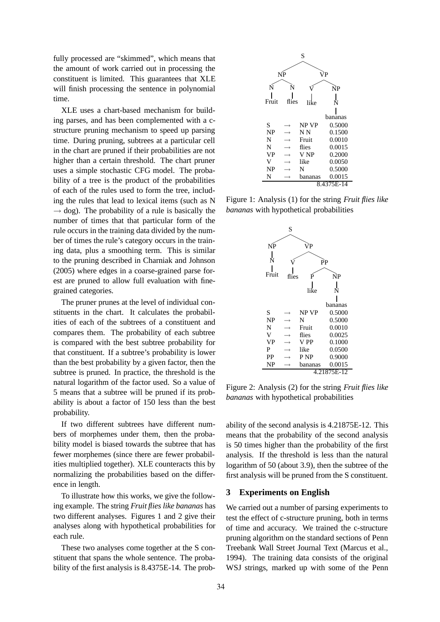fully processed are "skimmed", which means that the amount of work carried out in processing the constituent is limited. This guarantees that XLE will finish processing the sentence in polynomial time.

XLE uses a chart-based mechanism for building parses, and has been complemented with a cstructure pruning mechanism to speed up parsing time. During pruning, subtrees at a particular cell in the chart are pruned if their probabilities are not higher than a certain threshold. The chart pruner uses a simple stochastic CFG model. The probability of a tree is the product of the probabilities of each of the rules used to form the tree, including the rules that lead to lexical items (such as N  $\rightarrow$  dog). The probability of a rule is basically the number of times that that particular form of the rule occurs in the training data divided by the number of times the rule's category occurs in the training data, plus a smoothing term. This is similar to the pruning described in Charniak and Johnson (2005) where edges in a coarse-grained parse forest are pruned to allow full evaluation with finegrained categories.

The pruner prunes at the level of individual constituents in the chart. It calculates the probabilities of each of the subtrees of a constituent and compares them. The probability of each subtree is compared with the best subtree probability for that constituent. If a subtree's probability is lower than the best probability by a given factor, then the subtree is pruned. In practice, the threshold is the natural logarithm of the factor used. So a value of 5 means that a subtree will be pruned if its probability is about a factor of 150 less than the best probability.

If two different subtrees have different numbers of morphemes under them, then the probability model is biased towards the subtree that has fewer morphemes (since there are fewer probabilities multiplied together). XLE counteracts this by normalizing the probabilities based on the difference in length.

To illustrate how this works, we give the following example. The string *Fruit flies like bananas* has two different analyses. Figures 1 and 2 give their analyses along with hypothetical probabilities for each rule.

These two analyses come together at the S constituent that spans the whole sentence. The probability of the first analysis is 8.4375E-14. The prob-



Figure 1: Analysis (1) for the string *Fruit flies like bananas* with hypothetical probabilities



Figure 2: Analysis (2) for the string *Fruit flies like bananas* with hypothetical probabilities

ability of the second analysis is 4.21875E-12. This means that the probability of the second analysis is 50 times higher than the probability of the first analysis. If the threshold is less than the natural logarithm of 50 (about 3.9), then the subtree of the first analysis will be pruned from the S constituent.

#### **3 Experiments on English**

We carried out a number of parsing experiments to test the effect of c-structure pruning, both in terms of time and accuracy. We trained the c-structure pruning algorithm on the standard sections of Penn Treebank Wall Street Journal Text (Marcus et al., 1994). The training data consists of the original WSJ strings, marked up with some of the Penn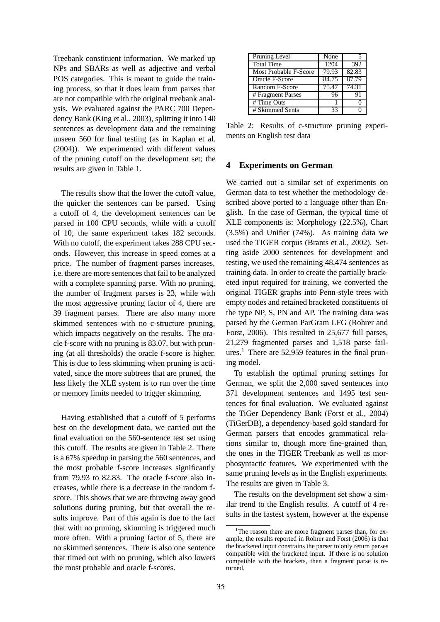Treebank constituent information. We marked up NPs and SBARs as well as adjective and verbal POS categories. This is meant to guide the training process, so that it does learn from parses that are not compatible with the original treebank analysis. We evaluated against the PARC 700 Dependency Bank (King et al., 2003), splitting it into 140 sentences as development data and the remaining unseen 560 for final testing (as in Kaplan et al. (2004)). We experimented with different values of the pruning cutoff on the development set; the results are given in Table 1.

The results show that the lower the cutoff value, the quicker the sentences can be parsed. Using a cutoff of 4, the development sentences can be parsed in 100 CPU seconds, while with a cutoff of 10, the same experiment takes 182 seconds. With no cutoff, the experiment takes 288 CPU seconds. However, this increase in speed comes at a price. The number of fragment parses increases, i.e. there are more sentences that fail to be analyzed with a complete spanning parse. With no pruning, the number of fragment parses is 23, while with the most aggressive pruning factor of 4, there are 39 fragment parses. There are also many more skimmed sentences with no c-structure pruning, which impacts negatively on the results. The oracle f-score with no pruning is 83.07, but with pruning (at all thresholds) the oracle f-score is higher. This is due to less skimming when pruning is activated, since the more subtrees that are pruned, the less likely the XLE system is to run over the time or memory limits needed to trigger skimming.

Having established that a cutoff of 5 performs best on the development data, we carried out the final evaluation on the 560-sentence test set using this cutoff. The results are given in Table 2. There is a 67% speedup in parsing the 560 sentences, and the most probable f-score increases significantly from 79.93 to 82.83. The oracle f-score also increases, while there is a decrease in the random fscore. This shows that we are throwing away good solutions during pruning, but that overall the results improve. Part of this again is due to the fact that with no pruning, skimming is triggered much more often. With a pruning factor of 5, there are no skimmed sentences. There is also one sentence that timed out with no pruning, which also lowers the most probable and oracle f-scores.

| Pruning Level         | None  |                    |
|-----------------------|-------|--------------------|
| <b>Total Time</b>     | 1204  | 392                |
| Most Probable F-Score | 79.93 | $82.\overline{83}$ |
| Oracle F-Score        | 84.75 | 87.79              |
| Random F-Score        | 75.47 | 74.31              |
| # Fragment Parses     | 96    | 91                 |
| $#Time$ Outs          |       |                    |
| # Skimmed Sents       | 33    |                    |

Table 2: Results of c-structure pruning experiments on English test data

#### **4 Experiments on German**

We carried out a similar set of experiments on German data to test whether the methodology described above ported to a language other than English. In the case of German, the typical time of XLE components is: Morphology (22.5%), Chart (3.5%) and Unifier (74%). As training data we used the TIGER corpus (Brants et al., 2002). Setting aside 2000 sentences for development and testing, we used the remaining 48,474 sentences as training data. In order to create the partially bracketed input required for training, we converted the original TIGER graphs into Penn-style trees with empty nodes and retained bracketed constituents of the type NP, S, PN and AP. The training data was parsed by the German ParGram LFG (Rohrer and Forst, 2006). This resulted in 25,677 full parses, 21,279 fragmented parses and 1,518 parse failures.<sup>1</sup> There are 52,959 features in the final pruning model.

To establish the optimal pruning settings for German, we split the 2,000 saved sentences into 371 development sentences and 1495 test sentences for final evaluation. We evaluated against the TiGer Dependency Bank (Forst et al., 2004) (TiGerDB), a dependency-based gold standard for German parsers that encodes grammatical relations similar to, though more fine-grained than, the ones in the TIGER Treebank as well as morphosyntactic features. We experimented with the same pruning levels as in the English experiments. The results are given in Table 3.

The results on the development set show a similar trend to the English results. A cutoff of 4 results in the fastest system, however at the expense

<sup>&</sup>lt;sup>1</sup>The reason there are more fragment parses than, for example, the results reported in Rohrer and Forst (2006) is that the bracketed input constrains the parser to only return parses compatible with the bracketed input. If there is no solution compatible with the brackets, then a fragment parse is returned.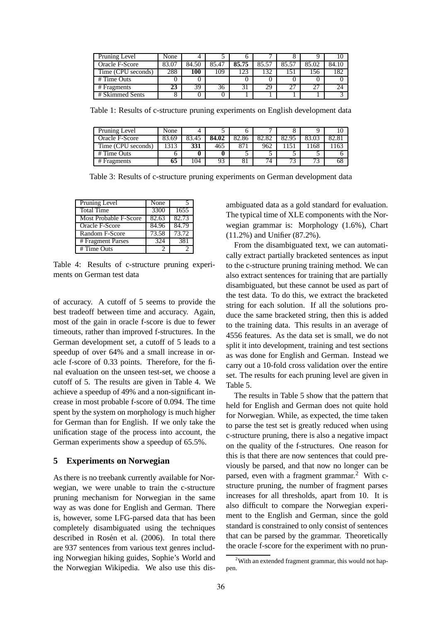| Pruning Level      | None  |       |       |       |       |       |       |       |
|--------------------|-------|-------|-------|-------|-------|-------|-------|-------|
| Oracle F-Score     | 83.07 | 84.50 | 85.47 | 85.75 | 85.57 | 85.57 | 85.02 | 84.10 |
| Time (CPU seconds) | 288   | 100   | 109   | 123   | 132   | l 51  | .56   | 182   |
| # Time Outs        |       |       |       |       |       |       |       |       |
| # Fragments        | 23    | 39    | 36    | 31    | 29    | 27    | 27    | 24    |
| # Skimmed Sents    | 8     |       |       |       |       |       |       |       |

Table 1: Results of c-structure pruning experiments on English development data

| Pruning Level      | None  |       |       |       |       |       |     |      |
|--------------------|-------|-------|-------|-------|-------|-------|-----|------|
| Oracle F-Score     | 83.69 | 83.45 | 84.02 | 82.86 | 82.82 | 82.95 |     | 82.8 |
| Time (CPU seconds) | 313   | 331   | 465   | 871   | 962   |       | 168 | 163  |
| # Time Outs        | O     |       |       |       |       |       |     |      |
| # Fragments        | 65    | 104   | 93    | 81    | 74    | 73    | 73  | 68   |

Table 3: Results of c-structure pruning experiments on German development data

| Pruning Level                   | None  |       |
|---------------------------------|-------|-------|
| <b>Total Time</b>               | 3300  | 1655  |
| Most Probable F-Score           | 82.63 | 82.73 |
| Oracle F-Score                  | 84.96 | 84.79 |
| Random F-Score                  | 73.58 | 73.72 |
| # Fragment Parses               | 324   | 381   |
| $\overline{\text{H}}$ Time Outs | 2     |       |

Table 4: Results of c-structure pruning experiments on German test data

of accuracy. A cutoff of 5 seems to provide the best tradeoff between time and accuracy. Again, most of the gain in oracle f-score is due to fewer timeouts, rather than improved f-structures. In the German development set, a cutoff of 5 leads to a speedup of over 64% and a small increase in oracle f-score of 0.33 points. Therefore, for the final evaluation on the unseen test-set, we choose a cutoff of 5. The results are given in Table 4. We achieve a speedup of 49% and a non-significant increase in most probable f-score of 0.094. The time spent by the system on morphology is much higher for German than for English. If we only take the unification stage of the process into account, the German experiments show a speedup of 65.5%.

### **5 Experiments on Norwegian**

As there is no treebank currently available for Norwegian, we were unable to train the c-structure pruning mechanism for Norwegian in the same way as was done for English and German. There is, however, some LFG-parsed data that has been completely disambiguated using the techniques described in Rosén et al. (2006). In total there are 937 sentences from various text genres including Norwegian hiking guides, Sophie's World and the Norwegian Wikipedia. We also use this disambiguated data as a gold standard for evaluation. The typical time of XLE components with the Norwegian grammar is: Morphology (1.6%), Chart (11.2%) and Unifier (87.2%).

From the disambiguated text, we can automatically extract partially bracketed sentences as input to the c-structure pruning training method. We can also extract sentences for training that are partially disambiguated, but these cannot be used as part of the test data. To do this, we extract the bracketed string for each solution. If all the solutions produce the same bracketed string, then this is added to the training data. This results in an average of 4556 features. As the data set is small, we do not split it into development, training and test sections as was done for English and German. Instead we carry out a 10-fold cross validation over the entire set. The results for each pruning level are given in Table 5.

The results in Table 5 show that the pattern that held for English and German does not quite hold for Norwegian. While, as expected, the time taken to parse the test set is greatly reduced when using c-structure pruning, there is also a negative impact on the quality of the f-structures. One reason for this is that there are now sentences that could previously be parsed, and that now no longer can be parsed, even with a fragment grammar.<sup>2</sup> With cstructure pruning, the number of fragment parses increases for all thresholds, apart from 10. It is also difficult to compare the Norwegian experiment to the English and German, since the gold standard is constrained to only consist of sentences that can be parsed by the grammar. Theoretically the oracle f-score for the experiment with no prun-

<sup>&</sup>lt;sup>2</sup>With an extended fragment grammar, this would not happen.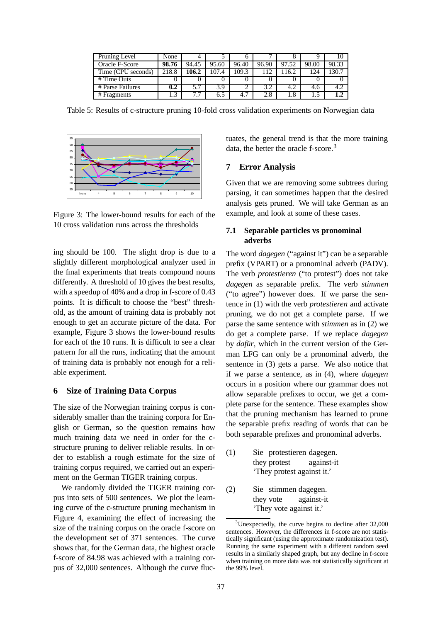| Pruning Level      | None  |       |       |       |       |       |       |       |
|--------------------|-------|-------|-------|-------|-------|-------|-------|-------|
| Oracle F-Score     | 98.76 | 94.45 | 95.60 | 96.40 | 96.90 | 97.52 | 98.00 | 98.33 |
| Time (CPU seconds) | 218.8 | 106.2 | 107.4 | 109.3 |       | 16.2  | 124   |       |
| # Time Outs        |       |       |       |       |       |       |       |       |
| # Parse Failures   | 0.2   | 5.7   | 3.9   |       | 3.2   | 4.2   | 4.6   |       |
| # Fragments        | ◠     |       | 6.5   | 4.7   | 2.8   | 1.8   |       |       |

Table 5: Results of c-structure pruning 10-fold cross validation experiments on Norwegian data



Figure 3: The lower-bound results for each of the 10 cross validation runs across the thresholds

ing should be 100. The slight drop is due to a slightly different morphological analyzer used in the final experiments that treats compound nouns differently. A threshold of 10 gives the best results, with a speedup of 40% and a drop in f-score of 0.43 points. It is difficult to choose the "best" threshold, as the amount of training data is probably not enough to get an accurate picture of the data. For example, Figure 3 shows the lower-bound results for each of the 10 runs. It is difficult to see a clear pattern for all the runs, indicating that the amount of training data is probably not enough for a reliable experiment.

#### **6 Size of Training Data Corpus**

The size of the Norwegian training corpus is considerably smaller than the training corpora for English or German, so the question remains how much training data we need in order for the cstructure pruning to deliver reliable results. In order to establish a rough estimate for the size of training corpus required, we carried out an experiment on the German TIGER training corpus.

We randomly divided the TIGER training corpus into sets of 500 sentences. We plot the learning curve of the c-structure pruning mechanism in Figure 4, examining the effect of increasing the size of the training corpus on the oracle f-score on the development set of 371 sentences. The curve shows that, for the German data, the highest oracle f-score of 84.98 was achieved with a training corpus of 32,000 sentences. Although the curve fluctuates, the general trend is that the more training data, the better the oracle f-score.<sup>3</sup>

### **7 Error Analysis**

Given that we are removing some subtrees during parsing, it can sometimes happen that the desired analysis gets pruned. We will take German as an example, and look at some of these cases.

### **7.1 Separable particles vs pronominal adverbs**

The word *dagegen* ("against it") can be a separable prefix (VPART) or a pronominal adverb (PADV). The verb *protestieren* ("to protest") does not take *dagegen* as separable prefix. The verb *stimmen* ("to agree") however does. If we parse the sentence in (1) with the verb *protestieren* and activate pruning, we do not get a complete parse. If we parse the same sentence with *stimmen* as in (2) we do get a complete parse. If we replace *dagegen* by *dafür*, which in the current version of the German LFG can only be a pronominal adverb, the sentence in (3) gets a parse. We also notice that if we parse a sentence, as in (4), where *dagegen* occurs in a position where our grammar does not allow separable prefixes to occur, we get a complete parse for the sentence. These examples show that the pruning mechanism has learned to prune the separable prefix reading of words that can be both separable prefixes and pronominal adverbs.

- (1) Sie protestieren dagegen. they protest against-it 'They protest against it.'
- (2) Sie stimmen dagegen. they vote against-it 'They vote against it.'

<sup>3</sup>Unexpectedly, the curve begins to decline after 32,000 sentences. However, the differences in f-score are not statistically significant (using the approximate randomization test). Running the same experiment with a different random seed results in a similarly shaped graph, but any decline in f-score when training on more data was not statistically significant at the 99% level.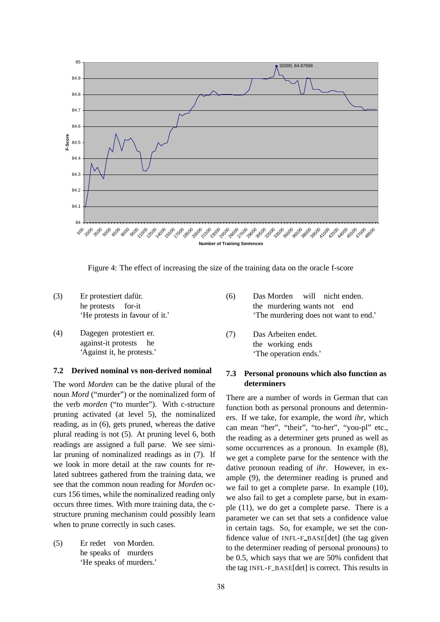

Figure 4: The effect of increasing the size of the training data on the oracle f-score

- $(3)$ he protests protestiert dafür. for-it 'He protests in favour of it.'
- (4) Dagegen protestiert er. against-it protests he 'Against it, he protests.'

### **7.2 Derived nominal vs non-derived nominal**

The word *Morden* can be the dative plural of the noun *Mord* ("murder") or the nominalized form of the verb *morden* ("to murder"). With c-structure pruning activated (at level 5), the nominalized reading, as in (6), gets pruned, whereas the dative plural reading is not (5). At pruning level 6, both readings are assigned a full parse. We see similar pruning of nominalized readings as in (7). If we look in more detail at the raw counts for related subtrees gathered from the training data, we see that the common noun reading for *Morden* occurs 156 times, while the nominalized reading only occurs three times. With more training data, the cstructure pruning mechanism could possibly learn when to prune correctly in such cases.

 $(5)$ he speaks of murders redet von Morden. 'He speaks of murders.'

- (6) Das Morden the murdering wants not end will nicht enden. 'The murdering does not want to end.'
- $(7)$ the working ends Arbeiten endet. 'The operation ends.'

### **7.3 Personal pronouns which also function as determiners**

There are a number of words in German that can function both as personal pronouns and determiners. If we take, for example, the word *ihr*, which can mean "her", "their", "to-her", "you-pl" etc., the reading as a determiner gets pruned as well as some occurrences as a pronoun. In example (8), we get a complete parse for the sentence with the dative pronoun reading of *ihr*. However, in example (9), the determiner reading is pruned and we fail to get a complete parse. In example (10), we also fail to get a complete parse, but in example (11), we do get a complete parse. There is a parameter we can set that sets a confidence value in certain tags. So, for example, we set the confidence value of INFL-F BASE[det] (the tag given to the determiner reading of personal pronouns) to be 0.5, which says that we are 50% confident that the tag INFL-F BASE[det] is correct. This results in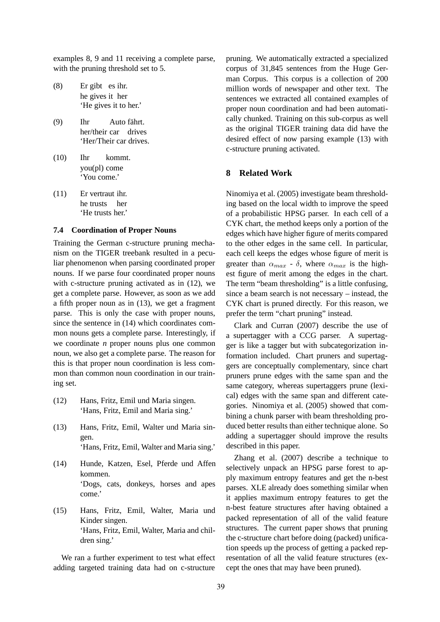examples 8, 9 and 11 receiving a complete parse, with the pruning threshold set to 5.

- $(8)$ he gives it her gibt es ihr. 'He gives it to her.'
- (9) Ihr her/their car drives Auto fährt. 'Her/Their car drives.
- (10) Ihr you(pl) come kommt. 'You come.'
- $(11)$ he trusts her vertraut ihr. 'He trusts her.'

#### **7.4 Coordination of Proper Nouns**

Training the German c-structure pruning mechanism on the TIGER treebank resulted in a peculiar phenomenon when parsing coordinated proper nouns. If we parse four coordinated proper nouns with c-structure pruning activated as in (12), we get a complete parse. However, as soon as we add a fifth proper noun as in (13), we get a fragment parse. This is only the case with proper nouns, since the sentence in (14) which coordinates common nouns gets a complete parse. Interestingly, if we coordinate *n* proper nouns plus one common noun, we also get a complete parse. The reason for this is that proper noun coordination is less common than common noun coordination in our training set.

- (12) Hans, Fritz, Emil und Maria singen. 'Hans, Fritz, Emil and Maria sing.'
- (13) Hans, Fritz, Emil, Walter und Maria singen. 'Hans, Fritz, Emil, Walter and Maria sing.'
- (14) Hunde, Katzen, Esel, Pferde und Affen kommen. 'Dogs, cats, donkeys, horses and apes come.'
- (15) Hans, Fritz, Emil, Walter, Maria und Kinder singen. 'Hans, Fritz, Emil, Walter, Maria and children sing.'

We ran a further experiment to test what effect adding targeted training data had on c-structure pruning. We automatically extracted a specialized corpus of 31,845 sentences from the Huge German Corpus. This corpus is a collection of 200 million words of newspaper and other text. The sentences we extracted all contained examples of proper noun coordination and had been automatically chunked. Training on this sub-corpus as well as the original TIGER training data did have the desired effect of now parsing example (13) with c-structure pruning activated.

### **8 Related Work**

Ninomiya et al. (2005) investigate beam thresholding based on the local width to improve the speed of a probabilistic HPSG parser. In each cell of a CYK chart, the method keeps only a portion of the edges which have higher figure of merits compared to the other edges in the same cell. In particular, each cell keeps the edges whose figure of merit is greater than  $\alpha_{max}$  -  $\delta$ , where  $\alpha_{max}$  is the highest figure of merit among the edges in the chart. The term "beam thresholding" is a little confusing, since a beam search is not necessary – instead, the CYK chart is pruned directly. For this reason, we prefer the term "chart pruning" instead.

Clark and Curran (2007) describe the use of a supertagger with a CCG parser. A supertagger is like a tagger but with subcategorization information included. Chart pruners and supertaggers are conceptually complementary, since chart pruners prune edges with the same span and the same category, whereas supertaggers prune (lexical) edges with the same span and different categories. Ninomiya et al. (2005) showed that combining a chunk parser with beam thresholding produced better results than either technique alone. So adding a supertagger should improve the results described in this paper.

Zhang et al. (2007) describe a technique to selectively unpack an HPSG parse forest to apply maximum entropy features and get the n-best parses. XLE already does something similar when it applies maximum entropy features to get the n-best feature structures after having obtained a packed representation of all of the valid feature structures. The current paper shows that pruning the c-structure chart before doing (packed) unification speeds up the process of getting a packed representation of all the valid feature structures (except the ones that may have been pruned).